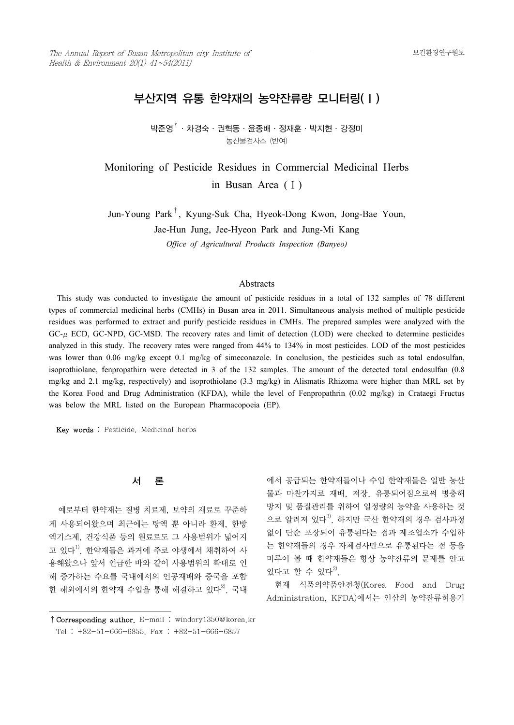# 부산지역 유통 한약재의 농약잔류량 모니터링(Ⅰ)

박준영†·차경숙·권혁동·윤종배·정재훈·박지현·강정미 농산물검사소 (반여)

Monitoring of Pesticide Residues in Commercial Medicinal Herbs in Busan Area (Ⅰ)

Jun-Young Park† , Kyung-Suk Cha, Hyeok-Dong Kwon, Jong-Bae Youn, Jae-Hun Jung, Jee-Hyeon Park and Jung-Mi Kang

*Office of Agricultural Products Inspection (Banyeo)*

#### **Abstracts**

 This study was conducted to investigate the amount of pesticide residues in a total of 132 samples of 78 different types of commercial medicinal herbs (CMHs) in Busan area in 2011. Simultaneous analysis method of multiple pesticide residues was performed to extract and purify pesticide residues in CMHs. The prepared samples were analyzed with the  $GC<sub>-U</sub> ECD, GC-NPD, GC-MSD.$  The recovery rates and limit of detection (LOD) were checked to determine pesticides analyzed in this study. The recovery rates were ranged from 44% to 134% in most pesticides. LOD of the most pesticides was lower than 0.06 mg/kg except 0.1 mg/kg of simeconazole. In conclusion, the pesticides such as total endosulfan, isoprothiolane, fenpropathirn were detected in 3 of the 132 samples. The amount of the detected total endosulfan (0.8 mg/kg and 2.1 mg/kg, respectively) and isoprothiolane (3.3 mg/kg) in Alismatis Rhizoma were higher than MRL set by the Korea Food and Drug Administration (KFDA), while the level of Fenpropathrin (0.02 mg/kg) in Crataegi Fructus was below the MRL listed on the European Pharmacopoeia (EP).

Key words : Pesticide, Medicinal herbs

## 서 론

 예로부터 한약재는 질병 치료제, 보약의 재료로 꾸준하 게 사용되어왔으며 최근에는 탕액 뿐 아니라 환제, 한방 엑기스제, 건강식품 등의 원료로도 그 사용범위가 넓어지 고 있다<sup>1)</sup>. 한약재들은 과거에 주로 야생에서 채취하여 사 용해왔으나 앞서 언급한 바와 같이 사용범위의 확대로 인 해 증가하는 수요를 국내에서의 인공재배와 중국을 포함 한 해외에서의 한약재 수입을 통해 해결하고 있다<sup>2)</sup>. 국내

에서 공급되는 한약재들이나 수입 한약재들은 일반 농산 물과 마찬가지로 재배, 저장, 유통되어짐으로써 병충해 방지 및 품질관리를 위하여 일정량의 농약을 사용하는 것 으로 알려져 있다<sup>3)</sup>. 하지만 국산 한약재의 경우 검사과정 없이 단순 포장되어 유통된다는 점과 제조업소가 수입하 는 한약재들의 경우 자체검사만으로 유통된다는 점 등을 미루어 볼 때 한약재들은 항상 농약잔류의 문제를 안고 있다고 할 수 있다 $^{2)}$ .

 현재 식품의약품안전청(Korea Food and Drug Administration, KFDA)에서는 인삼의 농약잔류허용기

<sup>†</sup>Corresponding author. E-mail : windory1350@korea.kr Tel : +82-51-666-6855, Fax : +82-51-666-6857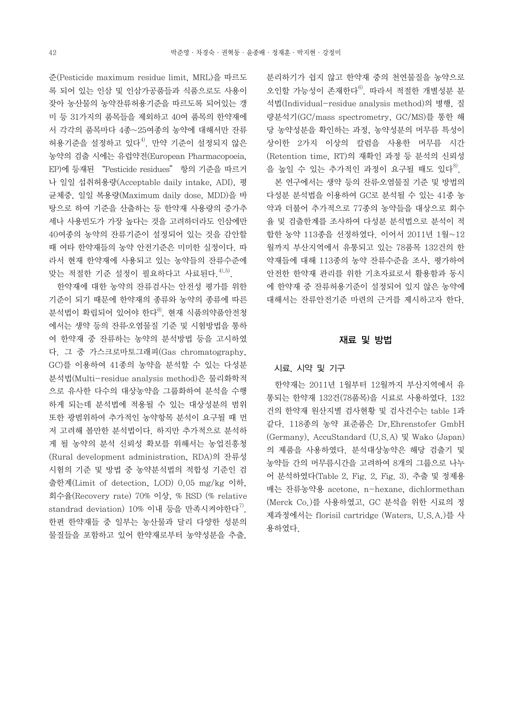준(Pesticide maximum residue limit, MRL)을 따르도 록 되어 있는 인삼 및 인삼가공품들과 식품으로도 사용이 잦아 농산물의 농약잔류허용기준을 따르도록 되어있는 갱 미 등 31가지의 품목들을 제외하고 40여 품목의 한약재에 서 각각의 품목마다 4종~25여종의 농약에 대해서만 잔류 허용기준을 설정하고 있다<sup>4)</sup>. 만약 기준이 설정되지 않은 농약의 검출 시에는 유럽약전(European Pharmacopoeia, EP)에 등재된 "Pesticide residues" 항의 기준을 따르거 나 일일 섭취허용량(Acceptable daily intake, ADI), 평 균체중, 일일 복용량(Maximum daily dose, MDD)을 바 탕으로 하여 기준을 산출하는 등 한약재 사용량의 증가추 세나 사용빈도가 가장 높다는 것을 고려하더라도 인삼에만 40여종의 농약의 잔류기준이 설정되어 있는 것을 감안할 때 여타 한약재들의 농약 안전기준은 미미한 실정이다. 따 라서 현재 한약재에 사용되고 있는 농약들의 잔류수준에 맞는 적절한 기준 설정이 필요하다고 사료된다.<sup>4),5)</sup>.

 한약재에 대한 농약의 잔류검사는 안전성 평가를 위한 기준이 되기 때문에 한약재의 종류와 농약의 종류에 따른 분석법이 확립되어 있어야 한다 $^{6}$ . 현재 식품의약품안전청 에서는 생약 등의 잔류․오염물질 기준 및 시험방법을 통하 여 한약재 중 잔류하는 농약의 분석방법 등을 고시하였 다. 그 중 가스크로마토그래피(Gas chromatography, GC)를 이용하여 41종의 농약을 분석할 수 있는 다성분 분석법(Multi-residue analysis method)은 물리화학적 으로 유사한 다수의 대상농약을 그룹화하여 분석을 수행 하게 되는데 분석법에 적용될 수 있는 대상성분의 범위 또한 광범위하여 추가적인 농약항목 분석이 요구될 때 먼 저 고려해 볼만한 분석법이다. 하지만 추가적으로 분석하 게 될 농약의 분석 신뢰성 확보를 위해서는 농업진흥청 (Rural development administration, RDA)의 잔류성 시험의 기준 및 방법 중 농약분석법의 적합성 기준인 검 출한계(Limit of detection, LOD) 0.05 mg/kg 이하, 회수율(Recovery rate) 70% 이상, % RSD (% relative standrad deviation) 10% 이내 등을 만족시켜야한다".<br>한편 한약재들 중 일부는 농산물과 달리 다양한 성분의 물질들을 포함하고 있어 한약재로부터 농약성분을 추출,

분리하기가 쉽지 않고 한약재 중의 천연물질을 농약으로 오인할 가능성이 존재한다6). 따라서 적절한 개별성분 분 석법(Individual-residue analysis method)의 병행, 질 량분석기(GC/mass spectrometry, GC/MS)를 통한 해 당 농약성분을 확인하는 과정, 농약성분의 머무름 특성이 상이한 2가지 이상의 칼럼을 사용한 머무름 시간 (Retention time, RT)의 재확인 과정 등 분석의 신뢰성 을 높일 수 있는 추가적인 과정이 요구될 때도 있다<sup>8)</sup>.

 본 연구에서는 생약 등의 잔류․오염물질 기준 및 방법의 다성분 분석법을 이용하여 GC로 분석될 수 있는 41종 농 약과 더불어 추가적으로 77종의 농약들을 대상으로 회수 율 및 검출한계를 조사하여 다성분 분석법으로 분석이 적 합한 농약 113종을 선정하였다. 이어서 2011년 1월~12 월까지 부산지역에서 유통되고 있는 78품목 132건의 한 약재들에 대해 113종의 농약 잔류수준을 조사, 평가하여 안전한 한약재 관리를 위한 기초자료로서 활용함과 동시 에 한약재 중 잔류허용기준이 설정되어 있지 않은 농약에 대해서는 잔류안전기준 마련의 근거를 제시하고자 한다.

#### 재료 및 방법

#### 시료, 시약 및 기구

 한약재는 2011년 1월부터 12월까지 부산지역에서 유 통되는 한약재 132건(78품목)을 시료로 사용하였다. 132 건의 한약재 원산지별 검사현황 및 검사건수는 table 1과 같다. 118종의 농약 표준품은 Dr.Ehrenstofer GmbH (Germany), AccuStandard (U.S.A) 및 Wako (Japan) 의 제품을 사용하였다. 분석대상농약은 해당 검출기 및 농약들 간의 머무름시간을 고려하여 8개의 그룹으로 나누 어 분석하였다(Table 2, Fig. 2, Fig. 3). 추출 및 정제용 매는 잔류농약용 acetone, n-hexane, dichlormethan (Merck Co.)를 사용하였고, GC 분석을 위한 시료의 정 제과정에서는 florisil cartridge (Waters, U.S.A.)를 사 용하였다.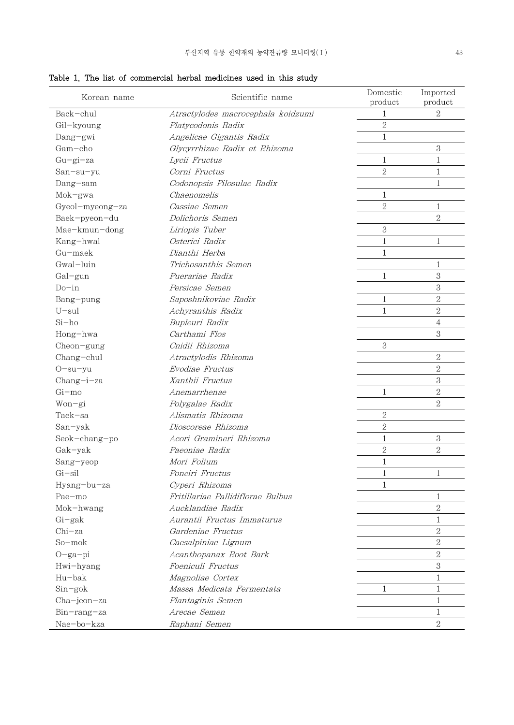| Korean name     | Scientific name                             | Domestic<br>product | Imported<br>product |
|-----------------|---------------------------------------------|---------------------|---------------------|
| Back-chul       | Atractylodes macrocephala koidzumi          | 1                   | 2                   |
| Gil-kyoung      | Platycodonis Radix                          | $\overline{2}$      |                     |
| Dang-gwi        | Angelicae Gigantis Radix                    | $\mathbf{1}$        |                     |
| Gam-cho         | Glycyrrhizae Radix et Rhizoma               |                     | 3                   |
| $Gu-gi-za$      | Lycii Fructus                               | $\mathbf{1}$        | 1                   |
| San-su-yu       | Corni Fructus                               | $\overline{2}$      | $\mathbf{1}$        |
| Dang-sam        | Codonopsis Pilosulae Radix                  |                     | 1                   |
| $Mok-gwa$       | Chaenomelis                                 | $\mathbf{1}$        |                     |
| Gyeol-myeong-za | Cassiae Semen                               | $\overline{2}$      | 1                   |
| Baek-pyeon-du   | Dolichoris Semen                            |                     | $\overline{2}$      |
| Mae-kmun-dong   | Liriopis Tuber                              | $\mathbf{3}$        |                     |
| Kang-hwal       | Osterici Radix                              | 1                   | $\mathbf{1}$        |
| Gu-maek         | Dianthi Herba                               | $\mathbf{1}$        |                     |
| Gwal-luin       | Trichosanthis Semen                         |                     | $\mathbf{1}$        |
| Gal-gun         | Puerariae Radix                             | $\mathbf{1}$        | 3                   |
| $Do-in$         | Persicae Semen                              |                     | 3                   |
| Bang-pung       | Saposhnikoviae Radix                        | 1                   | $\overline{2}$      |
| $U$ -sul        | Achyranthis Radix                           | $\mathbf{1}$        | $\overline{2}$      |
| $Si-ho$         | Bupleuri Radix                              |                     | $\overline{4}$      |
| Hong-hwa        | Carthami Flos                               |                     | 3                   |
| Cheon-gung      | Cnidii Rhizoma                              | 3                   |                     |
| Chang-chul      | Atractylodis Rhizoma                        |                     | 2                   |
| $O-su-yu$       | Evodiae Fructus                             |                     | $\mathbf{2}$        |
| Chang-i-za      | Xanthii Fructus                             |                     | 3                   |
| $Gi$ -mo        | Anemarrhenae                                | $\mathbf{1}$        | $\mathbf{2}$        |
| Won-gi          | Polygalae Radix                             |                     | $\overline{2}$      |
| Taek-sa         | Alismatis Rhizoma                           | $\sqrt{2}$          |                     |
| San-yak         | Dioscoreae Rhizoma                          | $\overline{2}$      |                     |
| Seok-chang-po   | Acori Gramineri Rhizoma                     | $\mathbf{1}$        | $\rm 3$             |
| Gak-yak         | Paeoniae Radix                              | $\overline{2}$      | $\overline{2}$      |
| Sang-yeop       | Mori Folium                                 | $\mathbf{1}$        |                     |
| $Gi-sil$        | Ponciri Fructus                             | 1                   | 1                   |
| Hyang-bu-za     | Cyperi Rhizoma                              | 1                   |                     |
| Pae-mo          | Fritillariae Pallidiflorae Bulbus           |                     | 1                   |
| Mok-hwang       | Aucklandiae Radix                           |                     | $\mathbf{2}$        |
| Gi-gak          | Aurantii Fructus Immaturus                  |                     | 1                   |
| $Chi$ -za       | Gardeniae Fructus                           |                     | $\mathbf{2}$        |
| So-mok          | Caesalpiniae Lignum                         |                     | $\mathbf{2}$        |
| $O-ga-pi$       |                                             |                     | $\overline{2}$      |
|                 | Acanthopanax Root Bark<br>Foeniculi Fructus |                     | 3                   |
| Hwi-hyang       |                                             |                     |                     |
| Hu-bak          | Magnoliae Cortex                            |                     | $\mathbf{1}$        |
| $Sin-gok$       | Massa Medicata Fermentata                   | 1                   | $\mathbf{1}$        |
| Cha-jeon-za     | Plantaginis Semen                           |                     | $\mathbf{1}$        |
| Bin-rang-za     | Arecae Semen                                |                     | 1                   |
| Nae-bo-kza      | Raphani Semen                               |                     | $\overline{2}$      |

Table 1. The list of commercial herbal medicines used in this study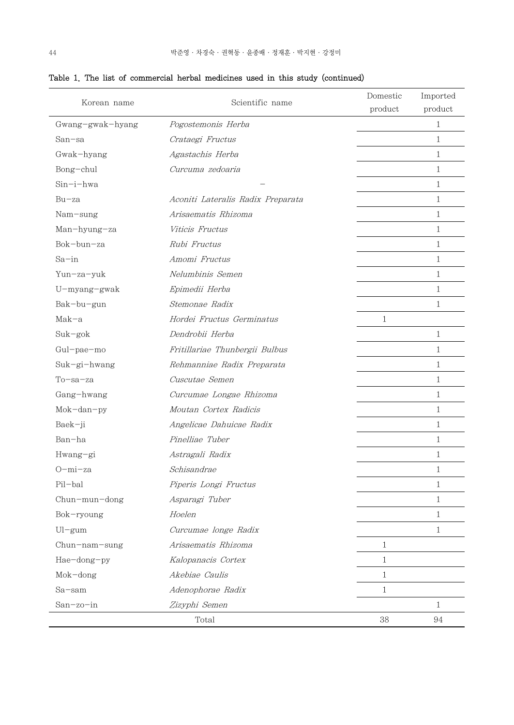| Scientific name<br>Korean name |                                   | Domestic<br>product | Imported<br>product |
|--------------------------------|-----------------------------------|---------------------|---------------------|
| Gwang-gwak-hyang               | Pogostemonis Herba                |                     | $\mathbf{1}$        |
| $San-sa$                       | Crataegi Fructus                  |                     | 1                   |
| Gwak-hyang                     | Agastachis Herba                  |                     | 1                   |
| Bong-chul                      | Curcuma zedoaria                  |                     | 1                   |
| Sin-i-hwa                      |                                   |                     | 1                   |
| $Bu$ -za                       | Aconiti Lateralis Radix Preparata |                     | 1                   |
| Nam-sung                       | Arisaematis Rhizoma               |                     | 1                   |
| Man-hyung-za                   | Viticis Fructus                   |                     | $\mathbf{1}$        |
| Bok-bun-za                     | Rubi Fructus                      |                     | $\mathbf{1}$        |
| $Sa$ -in                       | Amomi Fructus                     |                     | $\mathbf{1}$        |
| Yun-za-yuk                     | Nelumbinis Semen                  |                     | $\mathbf{1}$        |
| U-myang-gwak                   | Epimedii Herba                    |                     | $\mathbf{1}$        |
| Bak-bu-gun                     | Stemonae Radix                    |                     | 1                   |
| $Mak-a$                        | Hordei Fructus Germinatus         | $\mathbf{1}$        |                     |
| $Suk-gok$                      | Dendrobii Herba                   |                     | 1                   |
| Gul-pae-mo                     | Fritillariae Thunbergii Bulbus    |                     | $\mathbf{1}$        |
| Suk-gi-hwang                   | Rehmanniae Radix Preparata        |                     | 1                   |
| $To$ -sa-za                    | Cuscutae Semen                    |                     | $\mathbf{1}$        |
| Gang-hwang                     | Curcumae Longae Rhizoma           |                     | 1                   |
| Mok-dan-py                     | Moutan Cortex Radicis             |                     | $\mathbf{1}$        |
| Baek-ji                        | Angelicae Dahuicae Radix          |                     | $\mathbf{1}$        |
| Ban-ha                         | Pinelliae Tuber                   |                     | $\mathbf{1}$        |
| Hwang-gi                       | Astragali Radix                   |                     | 1                   |
| $O$ -mi-za                     | Schisandrae                       |                     | $1\,$               |
| Pil-bal                        | Piperis Longi Fructus             |                     | 1                   |
| Chun-mun-dong                  | Asparagi Tuber                    |                     | $\mathbf{1}$        |
| Bok-ryoung                     | Hoelen                            |                     | 1                   |
| $Ul-gum$                       | Curcumae longe Radix              |                     | 1                   |
| Chun-nam-sung                  | Arisaematis Rhizoma               | $\mathbf{1}$        |                     |
| Hae-dong-py                    | Kalopanacis Cortex                | $\mathbf{1}$        |                     |
| Mok-dong                       | Akebiae Caulis                    | $\mathbf{1}$        |                     |
| Sa-sam                         | Adenophorae Radix                 | $\mathbf{1}$        |                     |
| San-zo-in                      | Zizyphi Semen                     |                     | 1                   |
|                                | Total                             | 38                  | 94                  |

## Table 1. The list of commercial herbal medicines used in this study (continued)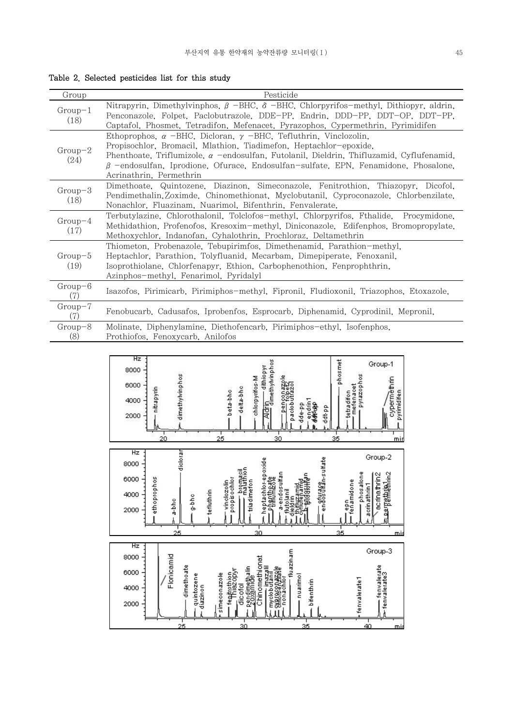Table 2. Selected pesticides list for this study

| Group             | Pesticide                                                                                                                                                                                                                                                                                                                                                                    |
|-------------------|------------------------------------------------------------------------------------------------------------------------------------------------------------------------------------------------------------------------------------------------------------------------------------------------------------------------------------------------------------------------------|
| $Group-1$<br>(18) | Nitrapyrin, Dimethylvinphos, $\beta$ -BHC, $\delta$ -BHC, Chlorpyrifos-methyl, Dithiopyr, aldrin,<br>Penconazole, Folpet, Paclobutrazole, DDE-PP, Endrin, DDD-PP, DDT-OP, DDT-PP,<br>Captafol, Phosmet, Tetradifon, Mefenacet, Pyrazophos, Cypermethrin, Pyrimidifen                                                                                                         |
| $Group-2$<br>(24) | Ethoprophos, $\alpha$ -BHC, Dicloran, $\gamma$ -BHC, Tefluthrin, Vinclozolin,<br>Propisochlor, Bromacil, Mlathion, Tiadimefon, Heptachlor-epoxide,<br>Phenthoate, Triflumizole, $\alpha$ -endosulfan, Futolanil, Dieldrin, Thifluzamid, Cyflufenamid,<br>$\beta$ -endosulfan, Iprodione, Ofurace, Endosulfan-sulfate, EPN, Fenamidone, Phosalone,<br>Acrinathrin, Permethrin |
| $Group-3$<br>(18) | Dimethoate, Quintozene, Diazinon, Simeconazole, Fenitrothion, Thiazopyr, Dicofol,<br>Pendimethalin, Zoximde, Chinomethionat, Myclobutanil, Cyproconazole, Chlorbenzilate,<br>Nonachlor, Fluazinam, Nuarimol, Bifenthrin, Fenvalerate,                                                                                                                                        |
| $Group-4$<br>(17) | Terbutylazine, Chlorothalonil, Tolclofos-methyl, Chlorpyrifos, Fthalide, Procymidone,<br>Methidathion, Profenofos, Kresoxim-methyl, Diniconazole, Edifenphos, Bromopropylate,<br>Methoxychlor, Indanofan, Cyhalothrin, Prochloraz, Deltamethrin                                                                                                                              |
| $Group-5$<br>(19) | Thiometon, Probenazole, Tebupirimfos, Dimethenamid, Parathion-methyl.<br>Heptachlor, Parathion, Tolyfluanid, Mecarbam, Dimepiperate, Fenoxanil,<br>Isoprothiolane, Chlorfenapyr, Ethion, Carbophenothion, Fenprophthrin,<br>Azinphos-methyl, Fenarimol, Pyridalyl                                                                                                            |
| $Group-6$<br>(7)  | Isazofos, Pirimicarb, Pirimiphos-methyl, Fipronil, Fludioxonil, Triazophos, Etoxazole,                                                                                                                                                                                                                                                                                       |
| $Group-7$<br>(7)  | Fenobucarb, Cadusafos, Iprobenfos, Esprocarb, Diphenamid, Cyprodinil, Mepronil,                                                                                                                                                                                                                                                                                              |
| $Group-8$<br>(8)  | Molinate, Diphenylamine, Diethofencarb, Pirimiphos-ethyl, Isofenphos,<br>Prothiofos, Fenoxycarb, Anilofos                                                                                                                                                                                                                                                                    |

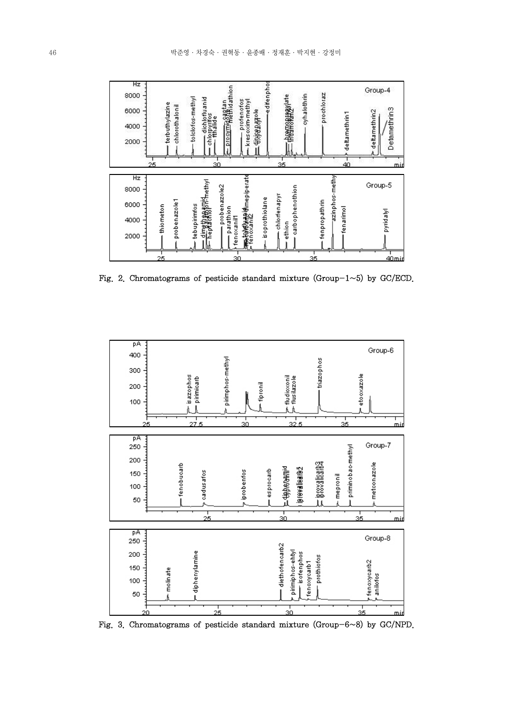

Fig. 2. Chromatograms of pesticide standard mixture (Group- $1 \sim 5$ ) by GC/ECD.



Fig. 3. Chromatograms of pesticide standard mixture (Group-6~8) by GC/NPD.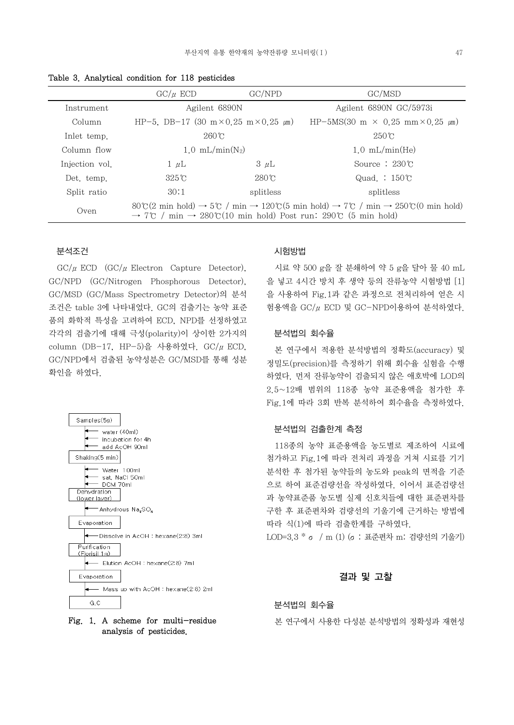|                | $\mathrm{GC}/\mu$ ECD                                                                                                                                                                                                                                                                     | GC/NPD        | GC/MSD                                              |  |
|----------------|-------------------------------------------------------------------------------------------------------------------------------------------------------------------------------------------------------------------------------------------------------------------------------------------|---------------|-----------------------------------------------------|--|
| Instrument     | Agilent 6890N                                                                                                                                                                                                                                                                             |               | Agilent 6890N GC/5973i                              |  |
| Column         | HP-5, DB-17 (30 m×0.25 m×0.25 $\mu$ m)                                                                                                                                                                                                                                                    |               | HP-5MS(30 m $\times$ 0.25 mm $\times$ 0.25 $\mu$ m) |  |
| Inlet temp.    | $260^\circ$ C                                                                                                                                                                                                                                                                             |               | $250^\circ$                                         |  |
| Column flow    | $1.0 \text{ mL/min}(N_2)$                                                                                                                                                                                                                                                                 |               | $1.0 \text{ mL/min(He)}$                            |  |
| Injection vol. | $1 \mu L$                                                                                                                                                                                                                                                                                 | $3 \mu L$     | Source : $230\textdegree$                           |  |
| Det. temp.     | $325^{\circ}$ C                                                                                                                                                                                                                                                                           | $280^\circ$ C | Quad.: $150^{\circ}$                                |  |
| Split ratio    | 30:1                                                                                                                                                                                                                                                                                      | splitless     | splitless                                           |  |
| Oven           | $80\degree (2 \text{ min hold}) \rightarrow 5\degree (7 \text{ min} \rightarrow 120\degree (5 \text{ min hold}) \rightarrow 7\degree (7 \text{ min} \rightarrow 250\degree (0 \text{ min hold})$<br>$\rightarrow$ 7°C / min $\rightarrow$ 280°C(10 min hold) Post run: 290°C (5 min hold) |               |                                                     |  |

Table 3. Analytical condition for 118 pesticides

## 분석조건

 $\text{GC}/\mu$  ECD  $(\text{GC}/\mu)$  Electron Capture Detector), GC/NPD (GC/Nitrogen Phosphorous Detector), GC/MSD (GC/Mass Spectrometry Detector)의 분석 조건은 table 3에 나타내었다. GC의 검출기는 농약 표준 품의 화학적 특성을 고려하여 ECD, NPD를 선정하였고 각각의 검출기에 대해 극성(polarity)이 상이한 2가지의 column (DB-17, HP-5)을 사용하였다.  $\text{GC}/\mu$  ECD, GC/NPD에서 검출된 농약성분은 GC/MSD를 통해 성분 확인을 하였다.



## Fig. 1. A scheme for multi-residue analysis of pesticides.

## 시험방법

 시료 약 500 g을 잘 분쇄하여 약 5 g을 달아 물 40 mL 을 넣고 4시간 방치 후 생약 등의 잔류농약 시험방법 [1] 을 사용하여 Fig.1과 같은 과정으로 전처리하여 얻은 시 험용액을 GC/μECD 및 GC-NPD이용하여 분석하였다.

#### 분석법의 회수율

 본 연구에서 적용한 분석방법의 정확도(accuracy) 및 정밀도(precision)를 측정하기 위해 회수율 실험을 수행 하였다. 먼저 잔류농약이 검출되지 않은 애호박에 LOD의 2.5~12배 범위의 118종 농약 표준용액을 첨가한 후 Fig.1에 따라 3회 반복 분석하여 회수율을 측정하였다.

#### 분석법의 검출한계 측정

 118종의 농약 표준용액을 농도별로 제조하여 시료에 첨가하고 Fig.1에 따라 전처리 과정을 거쳐 시료를 기기 분석한 후 첨가된 농약들의 농도와 peak의 면적을 기준 으로 하여 표준검량선을 작성하였다. 이어서 표준검량선 과 농약표준품 농도별 실제 신호치들에 대한 표준편차를 구한 후 표준편차와 검량선의 기울기에 근거하는 방법에 따라 식(1)에 따라 검출한계를 구하였다.

LOD=3.3 \* σ / m (1) (σ: 표준편차 m: 검량선의 기울기)

#### 결과 및 고찰

### 분석법의 회수율

본 연구에서 사용한 다성분 분석방법의 정확성과 재현성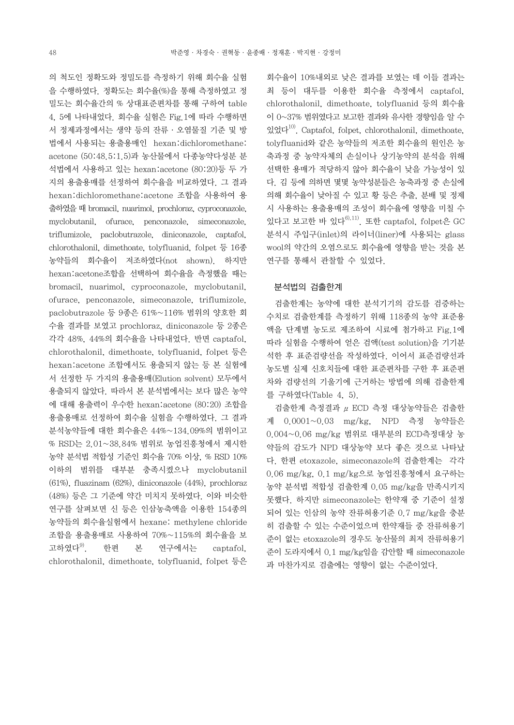의 척도인 정확도와 정밀도를 측정하기 위해 회수율 실험 을 수행하였다. 정확도는 회수율(%)을 통해 측정하였고 정 밀도는 회수율간의 % 상대표준편차를 통해 구하여 table 4, 5에 나타내었다. 회수율 실험은 Fig.1에 따라 수행하면 서 정제과정에서는 생약 등의 잔류·오염물질 기준 및 방 법에서 사용되는 용출용매인 hexan:dichloromethane: acetone (50:48.5:1.5)과 농산물에서 다종농약다성분 분 석법에서 사용하고 있는 hexan:acetone (80:20)등 두 가 지의 용출용매를 선정하여 회수율을 비교하였다. 그 결과 hexan:dichloromethane:acetone 조합을 사용하여 용 출하였을 때 bromacil, nuarimol, prochloraz, cyproconazole, myclobutanil, ofurace, penconazole, simeconazole, triflumizole, paclobutrazole, diniconazole, captafol, chlorothalonil, dimethoate, tolyfluanid, folpet 등 16종 농약들의 회수율이 저조하였다(not shown). 하지만 hexan:acetone조합을 선택하여 회수율을 측정했을 때는 bromacil, nuarimol, cyproconazole, myclobutanil, ofurace, penconazole, simeconazole, triflumizole, paclobutrazole 등 9종은 61%~116% 범위의 양호한 회 수율 결과를 보였고 prochloraz, diniconazole 등 2종은 각각 48%, 44%의 회수율을 나타내었다. 반면 captafol, chlorothalonil, dimethoate, tolyfluanid, folpet 등은 hexan:acetone 조합에서도 용출되지 않는 등 본 실험에 서 선정한 두 가지의 용출용매(Elution solvent) 모두에서 용출되지 않았다. 따라서 본 분석법에서는 보다 많은 농약 에 대해 용출력이 우수한 hexan:acetone (80:20) 조합을 용출용매로 선정하여 회수율 실험을 수행하였다. 그 결과 분석농약들에 대한 회수율은 44%~134.09%의 범위이고 % RSD는 2.01~38.84% 범위로 농업진흥청에서 제시한 농약 분석법 적합성 기준인 회수율 70% 이상, % RSD 10% 이하의 범위를 대부분 충족시켰으나 myclobutanil (61%), fluazinam (62%), diniconazole (44%), prochloraz (48%) 등은 그 기준에 약간 미치지 못하였다. 이와 비슷한 연구를 살펴보면 신 등은 인삼농축액을 이용한 154종의 농약들의 회수율실험에서 hexane: methylene chloride 조합을 용출용매로 사용하여 70%~115%의 회수율을 보 고하였다9). 한편 본 연구에서는 captafol, chlorothalonil, dimethoate, tolyfluanid, folpet 등은

회수율이 10%내외로 낮은 결과를 보였는 데 이들 결과는 최 등이 대두를 이용한 회수율 측정에서 captafol, chlorothalonil, dimethoate, tolyfluanid 등의 회수율 이 0~37% 범위였다고 보고한 결과와 유사한 경향임을 알 수 있었다10). Captafol, folpet, chlorothalonil, dimethoate, tolyfluanid와 같은 농약들의 저조한 회수율의 원인은 농 축과정 중 농약자체의 손실이나 상기농약의 분석을 위해 선택한 용매가 적당하지 않아 회수율이 낮을 가능성이 있 다. 김 등에 의하면 몇몇 농약성분들은 농축과정 중 손실에 의해 회수율이 낮아질 수 있고 황 등은 추출, 분배 및 정제 시 사용하는 용출용매의 조성이 회수율에 영향을 미칠 수 있다고 보고한 바 있다 $^{61,111}$ . 또한 captafol, folpet은 GC 분석시 주입구(inlet)의 라이너(liner)에 사용되는 glass wool의 약간의 오염으로도 회수율에 영향을 받는 것을 본 연구를 통해서 관찰할 수 있었다.

#### 분석법의 검출한계

 검출한계는 농약에 대한 분석기기의 감도를 검증하는 수치로 검출한계를 측정하기 위해 118종의 농약 표준용 액을 단계별 농도로 제조하여 시료에 첨가하고 Fig.1에 따라 실험을 수행하여 얻은 검액(test solution)을 기기분 석한 후 표준검량선을 작성하였다. 이어서 표준검량선과 농도별 실제 신호치들에 대한 표준편차를 구한 후 표준편 차와 검량선의 기울기에 근거하는 방법에 의해 검출한계 를 구하였다(Table 4, 5).

 검출한계 측정결과 μECD 측정 대상농약들은 검출한 계 0.0001~0.03 mg/kg, NPD 측정 농약들은 0.004~0.06 mg/kg 범위로 대부분의 ECD측정대상 농 약들의 감도가 NPD 대상농약 보다 좋은 것으로 나타났 다. 한편 etoxazole, simeconazole의 검출한계는 각각 0.06 mg/kg, 0.1 mg/kg으로 농업진흥청에서 요구하는 농약 분석법 적합성 검출한계 0.05 mg/kg을 만족시키지 못했다. 하지만 simeconazole는 한약재 중 기준이 설정 되어 있는 인삼의 농약 잔류허용기준 0.7 mg/kg을 충분 히 검출할 수 있는 수준이었으며 한약재들 중 잔류허용기 준이 없는 etoxazole의 경우도 농산물의 최저 잔류허용기 준이 도라지에서 0.1 mg/kg임을 감안할 때 simeconazole 과 마찬가지로 검출에는 영향이 없는 수준이었다.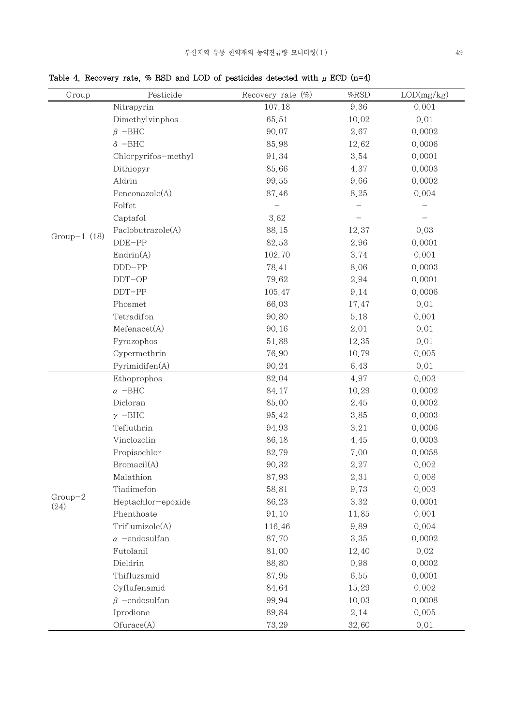Table 4. Recovery rate, % RSD and LOD of pesticides detected with  $\mu$  ECD (n=4)

| Group             | Pesticide                   | Recovery rate (%) | %RSD  | LOD(mg/kg) |
|-------------------|-----------------------------|-------------------|-------|------------|
|                   | Nitrapyrin                  | 107.18            | 9.36  | 0.001      |
|                   | Dimethylvinphos             | 65.51             | 10.02 | 0.01       |
|                   | $\beta$ -BHC                | 90.07             | 2.67  | 0.0002     |
|                   | $\delta$ -BHC               | 85.98             | 12.62 | 0.0006     |
|                   | Chlorpyrifos-methyl         | 91.34             | 3.54  | 0.0001     |
|                   | Dithiopyr                   | 85.66             | 4.37  | 0.0003     |
|                   | Aldrin                      | 99.55             | 9.66  | 0.0002     |
|                   | Penconazole(A)              | 87.46             | 8.25  | 0.004      |
|                   | Folfet                      |                   |       |            |
|                   | Captafol                    | 3.62              |       |            |
|                   | Paclobutrazole(A)           | 88.15             | 12.37 | 0.03       |
| Group-1 $(18)$    | $DDE-PP$                    | 82.53             | 2.96  | 0.0001     |
|                   | $\text{Endrin}(\mathbf{A})$ | 102.70            | 3.74  | 0.001      |
|                   | $DDD-PP$                    | 78.41             | 8.06  | 0.0003     |
|                   | $DDT-OP$                    | 79.62             | 2.94  | 0.0001     |
|                   | $DDT-PP$                    | 105.47            | 9.14  | 0.0006     |
|                   | Phosmet                     | 66.03             | 17.47 | 0.01       |
|                   | Tetradifon                  | 90.80             | 5.18  | 0.001      |
|                   | Mefenacet(A)                | 90.16             | 2.01  | 0.01       |
|                   | Pyrazophos                  | 51.88             | 12.35 | 0.01       |
|                   | Cypermethrin                | 76.90             | 10.79 | 0.005      |
|                   | Pyrimidifen(A)              | 90.24             | 6.43  | 0.01       |
|                   | Ethoprophos                 | 82.04             | 4.97  | 0.003      |
|                   | $\alpha$ -BHC               | 84.17             | 10.29 | 0.0002     |
|                   | Dicloran                    | 85.00             | 2.45  | 0.0002     |
|                   | $\gamma$ -BHC               | 95.42             | 3.85  | 0.0003     |
|                   | Tefluthrin                  | 94.93             | 3.21  | 0.0006     |
|                   | Vinclozolin                 | 86.18             | 4.45  | 0.0003     |
|                   | Propisochlor                | 82.79             | 7.00  | 0.0058     |
|                   | Bromacil(A)                 | 90.32             | 2.27  | 0.002      |
|                   | Malathion                   | 87.93             | 2.31  | 0.008      |
|                   | Tiadimefon                  | 58.81             | 9.73  | 0.003      |
| $Group-2$<br>(24) | Heptachlor-epoxide          | 86.23             | 3.32  | 0.0001     |
|                   | Phenthoate                  | 91.10             | 11.85 | 0.001      |
|                   | Triflumizole(A)             | 116.46            | 9.89  | 0.004      |
|                   | $\alpha$ -endosulfan        | 87.70             | 3.35  | 0.0002     |
|                   | Futolanil                   | 81.00             | 12.40 | 0.02       |
|                   | Dieldrin                    | 88.80             | 0.98  | 0.0002     |
|                   | Thifluzamid                 | 87.95             | 6.55  | 0.0001     |
|                   | Cyflufenamid                | 84.64             | 15.29 | 0.002      |
|                   | $\beta$ -endosulfan         | 99.94             | 10.03 | 0.0008     |
|                   | Iprodione                   | 89.84             | 2.14  | 0.005      |
|                   | Ofurace(A)                  | 73.29             | 32.60 | 0.01       |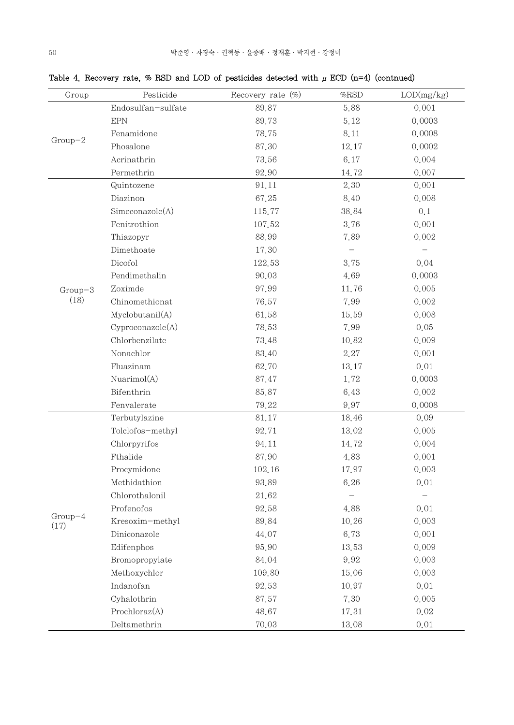| Group             | Pesticide          | Recovery rate (%) | $\%$ RSD | LOD(mg/kg) |
|-------------------|--------------------|-------------------|----------|------------|
| $Group-2$         | Endosulfan-sulfate | 89.87             | 5.88     | 0.001      |
|                   | <b>EPN</b>         | 89.73             | 5.12     | 0.0003     |
|                   | Fenamidone         | 78.75             | 8.11     | 0.0008     |
|                   | Phosalone          | 87.30             | 12.17    | 0.0002     |
|                   | Acrinathrin        | 73.56             | 6.17     | 0.004      |
|                   | Permethrin         | 92.90             | 14.72    | 0.007      |
|                   | Quintozene         | 91.11             | 2.30     | 0.001      |
|                   | Diazinon           | 67.25             | 8.40     | 0.008      |
|                   | Simeconazole(A)    | 115.77            | 38.84    | 0,1        |
|                   | Fenitrothion       | 107.52            | 3.76     | 0.001      |
|                   | Thiazopyr          | 88.99             | 7.89     | 0.002      |
|                   | Dimethoate         | 17.30             |          |            |
|                   | Dicofol            | 122.53            | 3.75     | 0.04       |
|                   | Pendimethalin      | 90.03             | 4.69     | 0.0003     |
| $Group-3$         | Zoximde            | 97.99             | 11.76    | 0.005      |
| (18)              | Chinomethionat     | 76.57             | 7.99     | 0.002      |
|                   | Myclobutanil(A)    | 61.58             | 15.59    | 0.008      |
|                   | Cyproconazole(A)   | 78.53             | 7.99     | 0.05       |
|                   | Chlorbenzilate     | 73.48             | 10.82    | 0.009      |
|                   | Nonachlor          | 83.40             | 2.27     | 0.001      |
|                   | Fluazinam          | 62.70             | 13.17    | 0.01       |
|                   | Nuarimol(A)        | 87.47             | 1.72     | 0.0003     |
|                   | Bifenthrin         | 85.87             | 6.43     | 0.002      |
|                   | Fenvalerate        | 79.22             | 9.97     | 0.0008     |
|                   | Terbutylazine      | 81.17             | 18.46    | 0.09       |
|                   | Tolclofos-methyl   | 92.71             | 13.02    | 0.005      |
|                   | Chlorpyrifos       | 94.11             | 14.72    | 0.004      |
|                   | Fthalide           | 87.90             | 4.83     | 0.001      |
|                   | Procymidone        | 102.16            | 17.97    | 0.003      |
|                   | Methidathion       | 93.89             | 6.26     | 0.01       |
|                   | Chlorothalonil     | 21.62             |          |            |
|                   | Profenofos         | 92.58             | 4.88     | 0.01       |
| $Group-4$<br>(17) | Kresoxim-methyl    | 89.84             | 10.26    | 0.003      |
|                   | Diniconazole       | 44.07             | 6.73     | 0.001      |
|                   | Edifenphos         | 95.90             | 13.53    | 0.009      |
|                   | Bromopropylate     | 84.04             | 9.92     | 0.003      |
|                   | Methoxychlor       | 109.80            | 15.06    | 0.003      |
|                   | Indanofan          | 92.53             | 10.97    | 0.01       |
|                   | Cyhalothrin        | 87.57             | 7.30     | 0.005      |
|                   | Prochloraz(A)      | 48.67             | 17.31    | 0.02       |
|                   | Deltamethrin       | 70.03             | 13.08    | 0.01       |

Table 4. Recovery rate, % RSD and LOD of pesticides detected with  $\mu$  ECD (n=4) (contnued)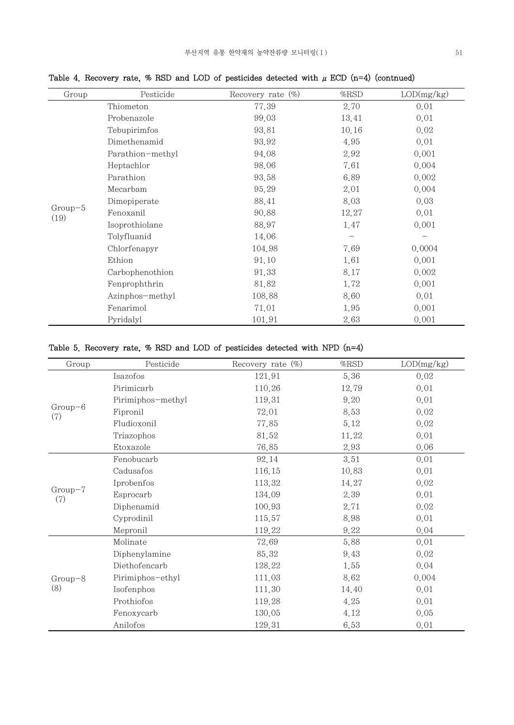| Group             | Pesticide        | Recovery rate $(\%)$ | $%$ RSD | LOD(mg/kg) |
|-------------------|------------------|----------------------|---------|------------|
|                   | Thiometon        | 77.39                | 2.70    | 0.01       |
|                   | Probenazole      | 99.03                | 13.41   | 0.01       |
|                   | Tebupirimfos     | 93.81                | 10.16   | 0.02       |
|                   | Dimethenamid     | 93.92                | 4.95    | 0.01       |
|                   | Parathion-methyl | 94.08                | 2.92    | 0.001      |
|                   | Heptachlor       | 98.06                | 7.61    | 0.004      |
|                   | Parathion        | 93.58                | 6.89    | 0.002      |
|                   | Mecarbam         | 95.29                | 2.01    | 0.004      |
|                   | Dimepiperate     | 88.41                | 8.03    | 0.03       |
| $Group-5$<br>(19) | Fenoxanil        | 90.88                | 12.27   | 0.01       |
|                   | Isoprothiolane   | 88.97                | 1.47    | 0.001      |
|                   | Tolyfluanid      | 14.06                |         |            |
|                   | Chlorfenapyr     | 104.98               | 7.69    | 0.0004     |
|                   | Ethion           | 91.10                | 1.61    | 0.001      |
|                   | Carbophenothion  | 91.33                | 8.17    | 0.002      |
|                   | Fenprophthrin    | 81.82                | 1.72    | 0.001      |
|                   | Azinphos-methyl  | 108.88               | 8.60    | 0.01       |
|                   | Fenarimol        | 71.01                | 1.95    | 0.001      |
|                   | Pyridalyl        | 101.91               | 2.63    | 0.001      |

Table 4. Recovery rate, % RSD and LOD of pesticides detected with  $\mu$  ECD (n=4) (contnued)

## Table 5. Recovery rate, % RSD and LOD of pesticides detected with NPD (n=4)

| Group            | Pesticide         | Recovery rate $(\%)$ | $\%$ RSD | LOD(mg/kg) |
|------------------|-------------------|----------------------|----------|------------|
|                  | Isazofos          | 121.91               | 5.36     | 0.02       |
|                  | Pirimicarb        | 110.26               | 12.79    | 0.01       |
|                  | Pirimiphos-methyl | 119.31               | 9.20     | 0.01       |
| $Group-6$<br>(7) | Fipronil          | 72.01                | 8.53     | 0.02       |
|                  | Fludioxonil       | 77.85                | 5.12     | 0.02       |
|                  | Triazophos        | 81.52                | 11.22    | 0.01       |
|                  | Etoxazole         | 76.85                | 2.93     | 0.06       |
|                  | Fenobucarb        | 92.14                | 3.51     | 0.01       |
|                  | Cadusafos         | 116.15               | 10.83    | 0.01       |
|                  | Iprobenfos        | 113.32               | 14.27    | 0.02       |
| $Group-7$<br>(7) | Esprocarb         | 134.09               | 2.39     | 0.01       |
|                  | Diphenamid        | 100.93               | 2.71     | 0.02       |
|                  | Cyprodinil        | 115.57               | 8.98     | 0.01       |
|                  | Mepronil          | 119.22               | 9.22     | 0.04       |
| $Group-8$<br>(8) | Molinate          | 72.69                | 5.88     | 0.01       |
|                  | Diphenylamine     | 85.32                | 9.43     | 0.02       |
|                  | Diethofencarb     | 128.22               | 1.55     | 0.04       |
|                  | Pirimiphos-ethyl  | 111.03               | 8.62     | 0.004      |
|                  | Isofenphos        | 111.30               | 14.40    | 0.01       |
|                  | Prothiofos        | 119.28               | 4.25     | 0.01       |
|                  | Fenoxycarb        | 130.05               | 4.12     | 0.05       |
|                  | Anilofos          | 129.31               | 6.53     | 0.01       |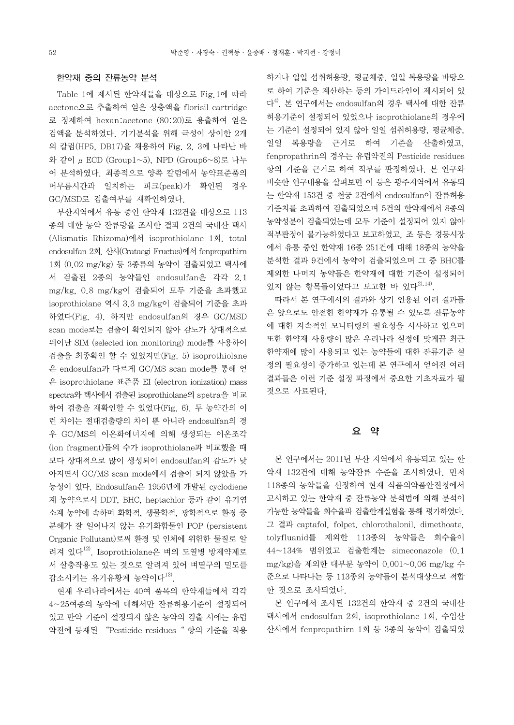#### 한약재 중의 잔류농약 분석

 Table 1에 제시된 한약재들을 대상으로 Fig.1에 따라 acetone으로 추출하여 얻은 상층액을 florisil cartridge 로 정제하여 hexan:acetone (80:20)로 용출하여 얻은 검액을 분석하였다. 기기분석을 위해 극성이 상이한 2개 의 칼럼(HP5, DB17)을 채용하여 Fig. 2, 3에 나타난 바 @일 복용량을 근거로 하여 기준을 산출하였고, 와 같이 μECD (Group1~5), NPD (Group6~8)로 나누 어 분석하였다. 최종적으로 양쪽 칼럼에서 농약표준품의 머무름시간과 일치하는 피크(peak)가 확인된 경우 GC/MSD로 검출여부를 재확인하였다.

 부산지역에서 유통 중인 한약재 132건을 대상으로 113 종의 대한 농약 잔류량을 조사한 결과 2건의 국내산 택사 (Alismatis Rhizoma)에서 isoprothiolane 1회, total endosulfan 2회, 산사(Crataegi Fructus)에서 fenpropathirn 1회 (0.02 mg/kg) 등 3종류의 농약이 검출되었고 택사에 서 검출된 2종의 농약들인 endosulfan은 각각 2.1 mg/kg, 0.8 mg/kg이 검출되어 모두 기준을 초과했고 isoprothiolane 역시 3.3 mg/kg이 검출되어 기준을 초과 하였다(Fig. 4). 하지만 endosulfan의 경우 GC/MSD scan mode로는 검출이 확인되지 않아 감도가 상대적으로 뛰어난 SIM (selected ion monitoring) mode를 사용하여 검출을 최종확인 할 수 있었지만(Fig. 5) isoprothiolane 은 endosulfan과 다르게 GC/MS scan mode를 통해 얻 은 isoprothiolane 표준품 EI (electron ionization) mass spectra와 택사에서 검출된 isoprothiolane의 spetra을 비교 하여 검출을 재확인할 수 있었다(Fig. 6). 두 농약간의 이 런 차이는 절대검출량의 차이 뿐 아니라 endosulfan의 경 우 GC/MS의 이온화에너지에 의해 생성되는 이온조각 (ion fragment)들의 수가 isoprothiolane과 비교했을 때 보다 상대적으로 많이 생성되어 endosulfan의 감도가 낮 아지면서 GC/MS scan mode에서 검출이 되지 않았을 가 능성이 있다. Endosulfan은 1956년에 개발된 cyclodiene 계 농약으로서 DDT, BHC, heptachlor 등과 같이 유기염 소계 농약에 속하며 화학적, 생물학적, 광학적으로 환경 중 가능한 농약들을 회수율과 검출한계실험을 통해 평가하였다. 분해가 잘 일어나지 않는 유기화합물인 POP (persistent Organic Pollutant)로써 환경 및 인체에 위험한 물질로 알 려져 있다<sup>12)</sup>. Isoprothiolane은 벼의 도열병 방제약제로 서 살충작용도 있는 것으로 알려져 있어 벼멸구의 밀도를 감소시키는 유기유황계 농약이다<sup>13)</sup>.

 현재 우리나라에서는 40여 품목의 한약재들에서 각각 4~25여종의 농약에 대해서만 잔류허용기준이 설정되어 있고 만약 기준이 설정되지 않은 농약의 검출 시에는 유럽 약전에 등재된 "Pesticide residues" 항의 기준을 적용 하거나 일일 섭취허용량, 평균체중, 일일 복용량을 바탕으 로 하여 기준을 계산하는 등의 가이드라인이 제시되어 있 다 4). 본 연구에서는 endosulfan의 경우 택사에 대한 잔류 허용기준이 설정되어 있었으나 isoprothiolane의 경우에 fenpropathrin의 경우는 유럽약전의 Pesticide residues 항의 기준을 근거로 하여 적부를 판정하였다. 본 연구와 비슷한 연구내용을 살펴보면 이 등은 광주지역에서 유통되 는 한약재 153건 중 천궁 2건에서 endosulfan이 잔류허용 기준치를 초과하여 검출되었으며 5건의 한약재에서 8종의 농약성분이 검출되었는데 모두 기준이 설정되어 있지 않아 적부판정이 불가능하였다고 보고하였고, 조 등은 경동시장 에서 유통 중인 한약재 16종 251건에 대해 18종의 농약을 분석한 결과 9건에서 농약이 검출되었으며 그 중 BHC를 제외한 나머지 농약들은 한약재에 대한 기준이 설정되어 있지 않는 항목들이었다고 보고한 바 있다 $^{20,14)}$ .

 따라서 본 연구에서의 결과와 상기 인용된 여러 결과들 은 앞으로도 안전한 한약재가 유통될 수 있도록 잔류농약 에 대한 지속적인 모니터링의 필요성을 시사하고 있으며 또한 한약재 사용량이 많은 우리나라 실정에 맞게끔 최근 한약재에 많이 사용되고 있는 농약들에 대한 잔류기준 설 정의 필요성이 증가하고 있는데 본 연구에서 얻어진 여러 결과들은 이런 기준 설정 과정에서 중요한 기초자료가 될 것으로 사료된다.

#### 요 약

 본 연구에서는 2011년 부산 지역에서 유통되고 있는 한 약재 132건에 대해 농약잔류 수준을 조사하였다. 먼저 118종의 농약들을 선정하여 현재 식품의약품안전청에서 고시하고 있는 한약재 중 잔류농약 분석법에 의해 분석이 그 결과 captafol, folpet, chlorothalonil, dimethoate, 44~134% 범위였고 검출한계는 simeconazole (0.1 mg/kg)을 제외한 대부분 농약이 0.001~0.06 mg/kg 수 준으로 나타나는 등 113종의 농약들이 분석대상으로 적합 한 것으로 조사되었다.

 본 연구에서 조사된 132건의 한약재 중 2건의 국내산 택사에서 endosulfan 2회, isoprothiolane 1회, 수입산 산사에서 fenpropathirn 1회 등 3종의 농약이 검출되었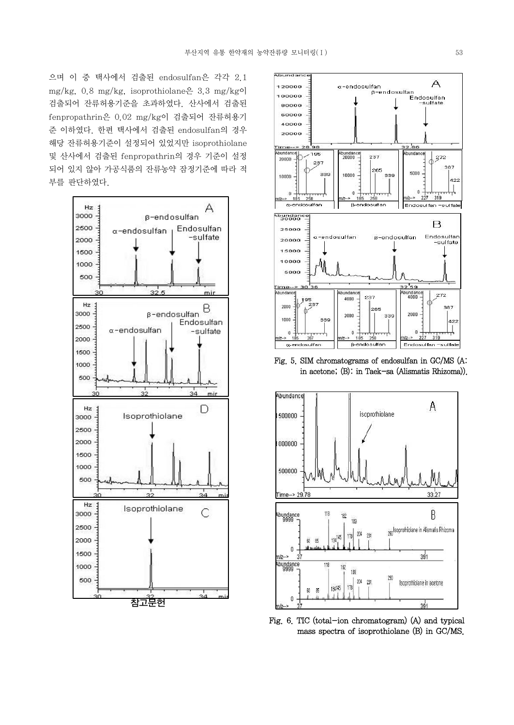으며 이 중 택사에서 검출된 endosulfan은 각각 2.1 mg/kg,  $0.8 \text{ mg/kg}$ , isoprothiolane $\frac{8}{11}$  3.3 mg/kgo] 검출되어 잔류허용기준을 초과하였다. 산사에서 검출된 fenpropathrin은 0.02 mg/kg이 검출되어 잔류허용기 준 이하였다. 한편 택사에서 검출된 endosulfan의 경우 해당 잔류허용기준이 설정되어 있었지만 isoprothiolane 및 산사에서 검출된 fenpropathrin의 경우 기준이 설정 되어 있지 않아 가공식품의 잔류농약 잠정기준에 따라 적 부를 판단하였다.





Fig. 5. SIM chromatograms of endosulfan in GC/MS (A: in acetone; (B): in Taek-sa (Alismatis Rhizoma)).



Fig. 6. TIC (total-ion chromatogram) (A) and typical mass spectra of isoprothiolane (B) in GC/MS.